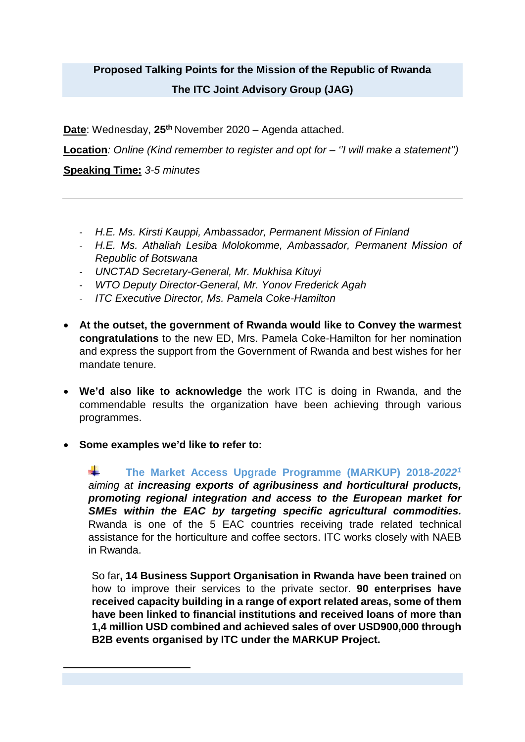## **Proposed Talking Points for the Mission of the Republic of Rwanda The ITC Joint Advisory Group (JAG)**

**Date**: Wednesday, 25<sup>th</sup> November 2020 – Agenda attached.

**Location***: Online (Kind remember to register and opt for – ''I will make a statement'')*

**Speaking Time:** *3-5 minutes*

- *H.E. Ms. Kirsti Kauppi, Ambassador, Permanent Mission of Finland*
- *H.E. Ms. Athaliah Lesiba Molokomme, Ambassador, Permanent Mission of Republic of Botswana*
- *UNCTAD Secretary-General, Mr. Mukhisa Kituyi*
- *WTO Deputy Director-General, Mr. Yonov Frederick Agah*
- *ITC Executive Director, Ms. Pamela Coke-Hamilton*
- **At the outset, the government of Rwanda would like to Convey the warmest congratulations** to the new ED, Mrs. Pamela Coke-Hamilton for her nomination and express the support from the Government of Rwanda and best wishes for her mandate tenure.
- **We'd also like to acknowledge** the work ITC is doing in Rwanda, and the commendable results the organization have been achieving through various programmes.
- **Some examples we'd like to refer to:**

<span id="page-0-0"></span>**.** 

÷. **The Market Access Upgrade Programme (MARKUP) 2018-***2022[1](#page-0-0) aiming at increasing exports of agribusiness and horticultural products, promoting regional integration and access to the European market for SMEs within the EAC by targeting specific agricultural commodities.*  Rwanda is one of the 5 EAC countries receiving trade related technical assistance for the horticulture and coffee sectors. ITC works closely with NAEB in Rwanda.

So far**, 14 Business Support Organisation in Rwanda have been trained** on how to improve their services to the private sector. **90 enterprises have received capacity building in a range of export related areas, some of them have been linked to financial institutions and received loans of more than 1,4 million USD combined and achieved sales of over USD900,000 through B2B events organised by ITC under the MARKUP Project.**